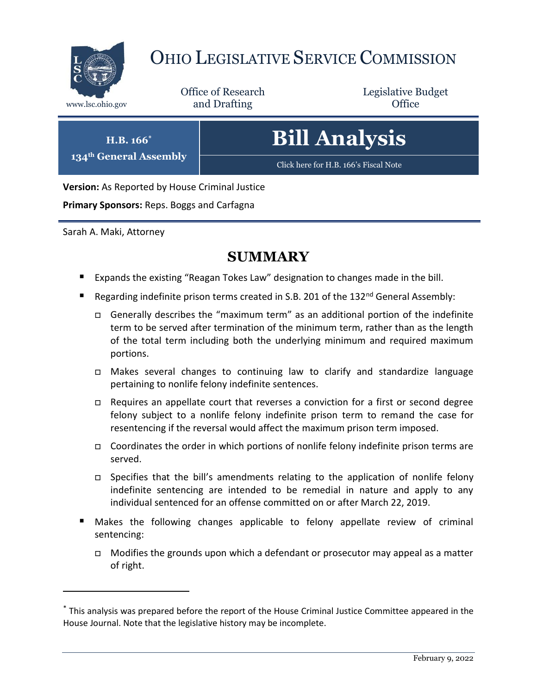

# OHIO LEGISLATIVE SERVICE COMMISSION

Office of Research www.lsc.ohio.gov **and Drafting Office** 

Legislative Budget

**H.B. 166\***

**134th General Assembly**

**Bill Analysis**

[Click here for H.B. 166](https://www.legislature.ohio.gov/legislation/legislation-documents?id=GA134-HB-166)'s Fiscal Note

**Version:** As Reported by House Criminal Justice

**Primary Sponsors:** Reps. Boggs and Carfagna

Sarah A. Maki, Attorney

 $\overline{a}$ 

## **SUMMARY**

- **Expands the existing "Reagan Tokes Law" designation to changes made in the bill.**
- Regarding indefinite prison terms created in S.B. 201 of the 132<sup>nd</sup> General Assembly:
	- Generally describes the "maximum term" as an additional portion of the indefinite term to be served after termination of the minimum term, rather than as the length of the total term including both the underlying minimum and required maximum portions.
	- Makes several changes to continuing law to clarify and standardize language pertaining to nonlife felony indefinite sentences.
	- $\Box$  Requires an appellate court that reverses a conviction for a first or second degree felony subject to a nonlife felony indefinite prison term to remand the case for resentencing if the reversal would affect the maximum prison term imposed.
	- Coordinates the order in which portions of nonlife felony indefinite prison terms are served.
	- □ Specifies that the bill's amendments relating to the application of nonlife felony indefinite sentencing are intended to be remedial in nature and apply to any individual sentenced for an offense committed on or after March 22, 2019.
- Makes the following changes applicable to felony appellate review of criminal sentencing:
	- $\Box$  Modifies the grounds upon which a defendant or prosecutor may appeal as a matter of right.

<sup>\*</sup> This analysis was prepared before the report of the House Criminal Justice Committee appeared in the House Journal. Note that the legislative history may be incomplete.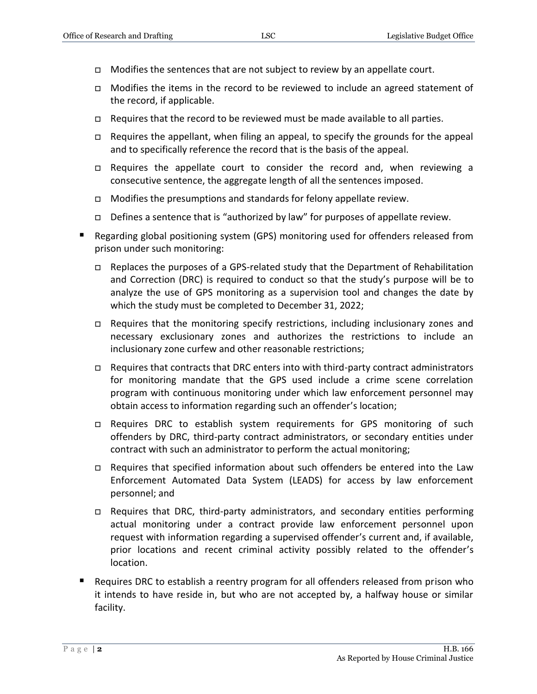- $\Box$  Modifies the sentences that are not subject to review by an appellate court.
- $\Box$  Modifies the items in the record to be reviewed to include an agreed statement of the record, if applicable.
- $\Box$  Requires that the record to be reviewed must be made available to all parties.
- $\Box$  Requires the appellant, when filing an appeal, to specify the grounds for the appeal and to specifically reference the record that is the basis of the appeal.
- $\Box$  Requires the appellate court to consider the record and, when reviewing a consecutive sentence, the aggregate length of all the sentences imposed.
- $\Box$  Modifies the presumptions and standards for felony appellate review.
- Defines a sentence that is "authorized by law" for purposes of appellate review.
- Regarding global positioning system (GPS) monitoring used for offenders released from prison under such monitoring:
	- Replaces the purposes of a GPS-related study that the Department of Rehabilitation and Correction (DRC) is required to conduct so that the study's purpose will be to analyze the use of GPS monitoring as a supervision tool and changes the date by which the study must be completed to December 31, 2022;
	- $\Box$  Requires that the monitoring specify restrictions, including inclusionary zones and necessary exclusionary zones and authorizes the restrictions to include an inclusionary zone curfew and other reasonable restrictions;
	- □ Requires that contracts that DRC enters into with third-party contract administrators for monitoring mandate that the GPS used include a crime scene correlation program with continuous monitoring under which law enforcement personnel may obtain access to information regarding such an offender's location;
	- □ Requires DRC to establish system requirements for GPS monitoring of such offenders by DRC, third-party contract administrators, or secondary entities under contract with such an administrator to perform the actual monitoring;
	- $\Box$  Requires that specified information about such offenders be entered into the Law Enforcement Automated Data System (LEADS) for access by law enforcement personnel; and
	- $\Box$  Requires that DRC, third-party administrators, and secondary entities performing actual monitoring under a contract provide law enforcement personnel upon request with information regarding a supervised offender's current and, if available, prior locations and recent criminal activity possibly related to the offender's location.
- Requires DRC to establish a reentry program for all offenders released from prison who it intends to have reside in, but who are not accepted by, a halfway house or similar facility.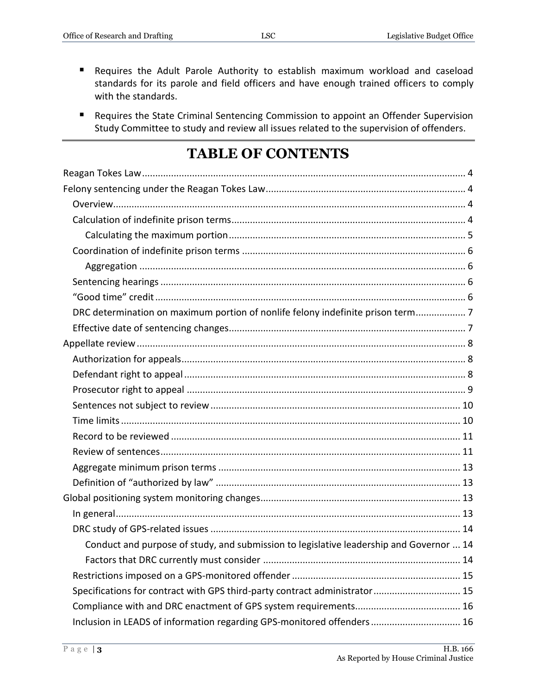- Requires the Adult Parole Authority to establish maximum workload and caseload standards for its parole and field officers and have enough trained officers to comply with the standards.
- Requires the State Criminal Sentencing Commission to appoint an Offender Supervision Study Committee to study and review all issues related to the supervision of offenders.

## **TABLE OF CONTENTS**

| DRC determination on maximum portion of nonlife felony indefinite prison term7          |
|-----------------------------------------------------------------------------------------|
|                                                                                         |
|                                                                                         |
|                                                                                         |
|                                                                                         |
|                                                                                         |
|                                                                                         |
|                                                                                         |
|                                                                                         |
|                                                                                         |
|                                                                                         |
|                                                                                         |
|                                                                                         |
|                                                                                         |
|                                                                                         |
| Conduct and purpose of study, and submission to legislative leadership and Governor  14 |
|                                                                                         |
|                                                                                         |
| Specifications for contract with GPS third-party contract administrator 15              |
|                                                                                         |
| Inclusion in LEADS of information regarding GPS-monitored offenders 16                  |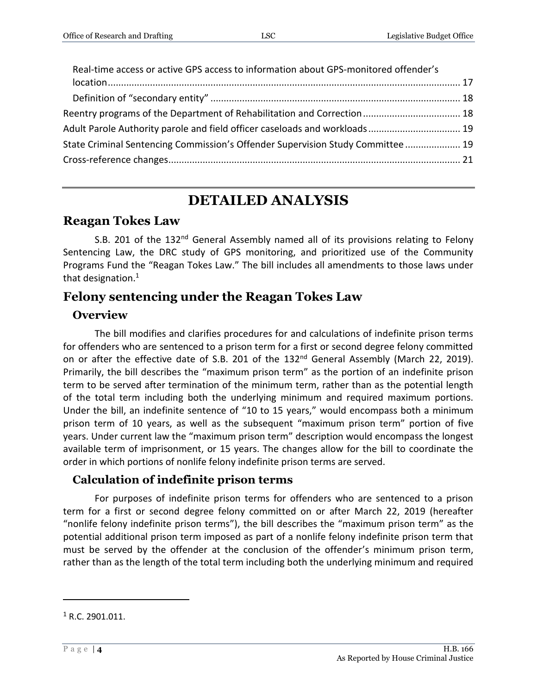| Real-time access or active GPS access to information about GPS-monitored offender's |  |
|-------------------------------------------------------------------------------------|--|
|                                                                                     |  |
|                                                                                     |  |
| Reentry programs of the Department of Rehabilitation and Correction 18              |  |
| Adult Parole Authority parole and field officer caseloads and workloads 19          |  |
| State Criminal Sentencing Commission's Offender Supervision Study Committee 19      |  |
|                                                                                     |  |
|                                                                                     |  |

## **DETAILED ANALYSIS**

## <span id="page-3-0"></span>**Reagan Tokes Law**

S.B. 201 of the  $132<sup>nd</sup>$  General Assembly named all of its provisions relating to Felony Sentencing Law, the DRC study of GPS monitoring, and prioritized use of the Community Programs Fund the "Reagan Tokes Law." The bill includes all amendments to those laws under that designation. $1$ 

## <span id="page-3-1"></span>**Felony sentencing under the Reagan Tokes Law**

### <span id="page-3-2"></span>**Overview**

The bill modifies and clarifies procedures for and calculations of indefinite prison terms for offenders who are sentenced to a prison term for a first or second degree felony committed on or after the effective date of S.B. 201 of the 132<sup>nd</sup> General Assembly (March 22, 2019). Primarily, the bill describes the "maximum prison term" as the portion of an indefinite prison term to be served after termination of the minimum term, rather than as the potential length of the total term including both the underlying minimum and required maximum portions. Under the bill, an indefinite sentence of "10 to 15 years," would encompass both a minimum prison term of 10 years, as well as the subsequent "maximum prison term" portion of five years. Under current law the "maximum prison term" description would encompass the longest available term of imprisonment, or 15 years. The changes allow for the bill to coordinate the order in which portions of nonlife felony indefinite prison terms are served.

## <span id="page-3-3"></span>**Calculation of indefinite prison terms**

For purposes of indefinite prison terms for offenders who are sentenced to a prison term for a first or second degree felony committed on or after March 22, 2019 (hereafter "nonlife felony indefinite prison terms"), the bill describes the "maximum prison term" as the potential additional prison term imposed as part of a nonlife felony indefinite prison term that must be served by the offender at the conclusion of the offender's minimum prison term, rather than as the length of the total term including both the underlying minimum and required

 $1$  R.C. 2901.011.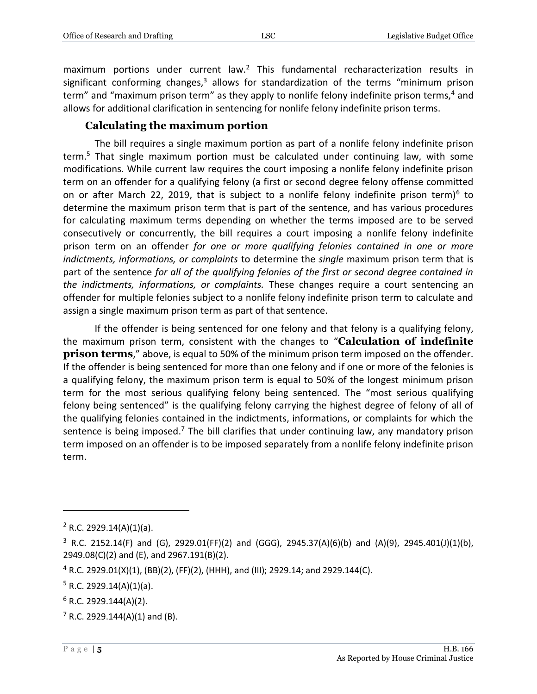maximum portions under current law.<sup>2</sup> This fundamental recharacterization results in significant conforming changes, $3$  allows for standardization of the terms "minimum prison term" and "maximum prison term" as they apply to nonlife felony indefinite prison terms,<sup>4</sup> and allows for additional clarification in sentencing for nonlife felony indefinite prison terms.

#### **Calculating the maximum portion**

<span id="page-4-0"></span>The bill requires a single maximum portion as part of a nonlife felony indefinite prison term.<sup>5</sup> That single maximum portion must be calculated under continuing law, with some modifications. While current law requires the court imposing a nonlife felony indefinite prison term on an offender for a qualifying felony (a first or second degree felony offense committed on or after March 22, 2019, that is subject to a nonlife felony indefinite prison term)<sup>6</sup> to determine the maximum prison term that is part of the sentence, and has various procedures for calculating maximum terms depending on whether the terms imposed are to be served consecutively or concurrently, the bill requires a court imposing a nonlife felony indefinite prison term on an offender *for one or more qualifying felonies contained in one or more indictments, informations, or complaints* to determine the *single* maximum prison term that is part of the sentence *for all of the qualifying felonies of the first or second degree contained in the indictments, informations, or complaints.* These changes require a court sentencing an offender for multiple felonies subject to a nonlife felony indefinite prison term to calculate and assign a single maximum prison term as part of that sentence.

If the offender is being sentenced for one felony and that felony is a qualifying felony, the maximum prison term, consistent with the changes to "**Calculation of indefinite prison terms**," above, is equal to 50% of the minimum prison term imposed on the offender. If the offender is being sentenced for more than one felony and if one or more of the felonies is a qualifying felony, the maximum prison term is equal to 50% of the longest minimum prison term for the most serious qualifying felony being sentenced. The "most serious qualifying felony being sentenced" is the qualifying felony carrying the highest degree of felony of all of the qualifying felonies contained in the indictments, informations, or complaints for which the sentence is being imposed.<sup>7</sup> The bill clarifies that under continuing law, any mandatory prison term imposed on an offender is to be imposed separately from a nonlife felony indefinite prison term.

 $7$  R.C. 2929.144(A)(1) and (B).

 $2$  R.C. 2929.14(A)(1)(a).

 $3$  R.C. 2152.14(F) and (G), 2929.01(FF)(2) and (GGG), 2945.37(A)(6)(b) and (A)(9), 2945.401(J)(1)(b), 2949.08(C)(2) and (E), and 2967.191(B)(2).

 $4$  R.C. 2929.01(X)(1), (BB)(2), (FF)(2), (HHH), and (III); 2929.14; and 2929.144(C).

 $5 R.C. 2929.14(A)(1)(a)$ .

 $6$  R.C. 2929.144(A)(2).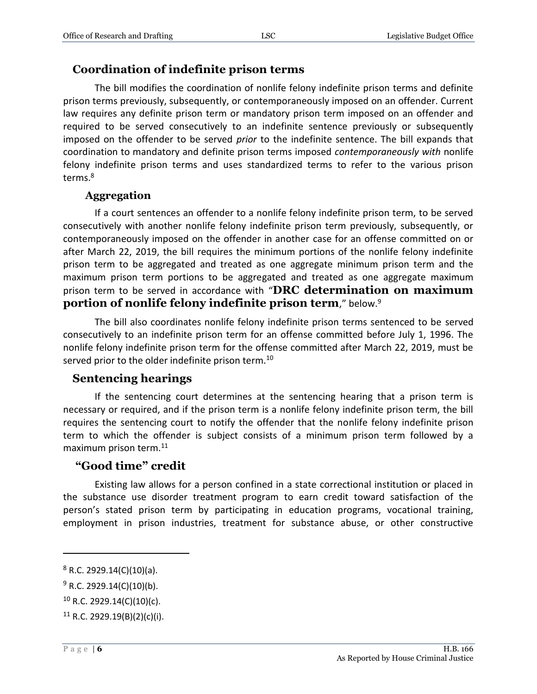#### <span id="page-5-0"></span>**Coordination of indefinite prison terms**

The bill modifies the coordination of nonlife felony indefinite prison terms and definite prison terms previously, subsequently, or contemporaneously imposed on an offender. Current law requires any definite prison term or mandatory prison term imposed on an offender and required to be served consecutively to an indefinite sentence previously or subsequently imposed on the offender to be served *prior* to the indefinite sentence. The bill expands that coordination to mandatory and definite prison terms imposed *contemporaneously with* nonlife felony indefinite prison terms and uses standardized terms to refer to the various prison terms.<sup>8</sup>

#### **Aggregation**

<span id="page-5-1"></span>If a court sentences an offender to a nonlife felony indefinite prison term, to be served consecutively with another nonlife felony indefinite prison term previously, subsequently, or contemporaneously imposed on the offender in another case for an offense committed on or after March 22, 2019, the bill requires the minimum portions of the nonlife felony indefinite prison term to be aggregated and treated as one aggregate minimum prison term and the maximum prison term portions to be aggregated and treated as one aggregate maximum prison term to be served in accordance with "**DRC determination on maximum portion of nonlife felony indefinite prison term**," below.<sup>9</sup>

The bill also coordinates nonlife felony indefinite prison terms sentenced to be served consecutively to an indefinite prison term for an offense committed before July 1, 1996. The nonlife felony indefinite prison term for the offense committed after March 22, 2019, must be served prior to the older indefinite prison term.<sup>10</sup>

#### <span id="page-5-2"></span>**Sentencing hearings**

If the sentencing court determines at the sentencing hearing that a prison term is necessary or required, and if the prison term is a nonlife felony indefinite prison term, the bill requires the sentencing court to notify the offender that the nonlife felony indefinite prison term to which the offender is subject consists of a minimum prison term followed by a maximum prison term.<sup>11</sup>

#### <span id="page-5-3"></span>**"Good time" credit**

Existing law allows for a person confined in a state correctional institution or placed in the substance use disorder treatment program to earn credit toward satisfaction of the person's stated prison term by participating in education programs, vocational training, employment in prison industries, treatment for substance abuse, or other constructive

 $8$  R.C. 2929.14(C)(10)(a).

 $9 R.C. 2929.14(C)(10)(b).$ 

 $10$  R.C. 2929.14(C)(10)(c).

 $11$  R.C. 2929.19(B)(2)(c)(i).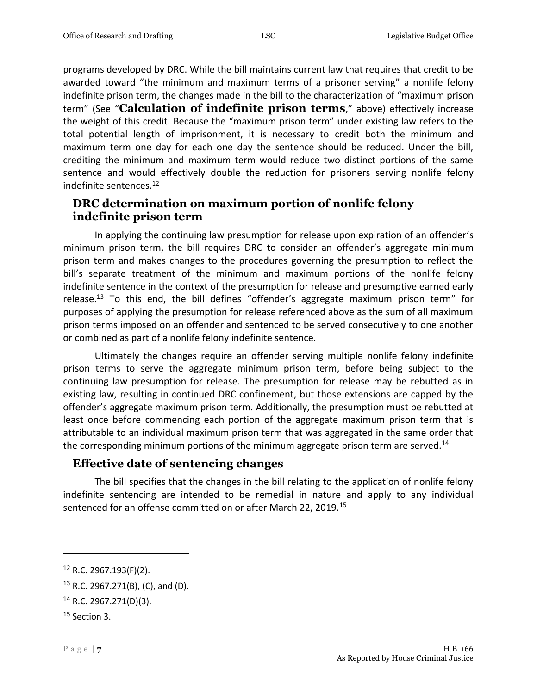programs developed by DRC. While the bill maintains current law that requires that credit to be awarded toward "the minimum and maximum terms of a prisoner serving" a nonlife felony indefinite prison term, the changes made in the bill to the characterization of "maximum prison term" (See "**Calculation of indefinite prison terms**," above) effectively increase the weight of this credit. Because the "maximum prison term" under existing law refers to the total potential length of imprisonment, it is necessary to credit both the minimum and maximum term one day for each one day the sentence should be reduced. Under the bill, crediting the minimum and maximum term would reduce two distinct portions of the same sentence and would effectively double the reduction for prisoners serving nonlife felony indefinite sentences.<sup>12</sup>

#### <span id="page-6-0"></span>**DRC determination on maximum portion of nonlife felony indefinite prison term**

In applying the continuing law presumption for release upon expiration of an offender's minimum prison term, the bill requires DRC to consider an offender's aggregate minimum prison term and makes changes to the procedures governing the presumption to reflect the bill's separate treatment of the minimum and maximum portions of the nonlife felony indefinite sentence in the context of the presumption for release and presumptive earned early release.<sup>13</sup> To this end, the bill defines "offender's aggregate maximum prison term" for purposes of applying the presumption for release referenced above as the sum of all maximum prison terms imposed on an offender and sentenced to be served consecutively to one another or combined as part of a nonlife felony indefinite sentence.

Ultimately the changes require an offender serving multiple nonlife felony indefinite prison terms to serve the aggregate minimum prison term, before being subject to the continuing law presumption for release. The presumption for release may be rebutted as in existing law, resulting in continued DRC confinement, but those extensions are capped by the offender's aggregate maximum prison term. Additionally, the presumption must be rebutted at least once before commencing each portion of the aggregate maximum prison term that is attributable to an individual maximum prison term that was aggregated in the same order that the corresponding minimum portions of the minimum aggregate prison term are served.<sup>14</sup>

#### <span id="page-6-1"></span>**Effective date of sentencing changes**

The bill specifies that the changes in the bill relating to the application of nonlife felony indefinite sentencing are intended to be remedial in nature and apply to any individual sentenced for an offense committed on or after March 22, 2019.<sup>15</sup>

 $12$  R.C. 2967.193(F)(2).

<sup>13</sup> R.C. 2967.271(B), (C), and (D).

<sup>14</sup> R.C. 2967.271(D)(3).

 $15$  Section 3.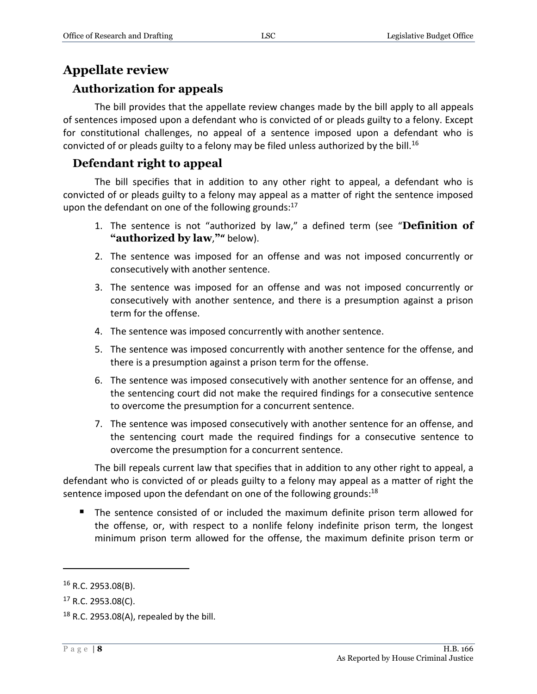## <span id="page-7-0"></span>**Appellate review**

### <span id="page-7-1"></span>**Authorization for appeals**

The bill provides that the appellate review changes made by the bill apply to all appeals of sentences imposed upon a defendant who is convicted of or pleads guilty to a felony. Except for constitutional challenges, no appeal of a sentence imposed upon a defendant who is convicted of or pleads guilty to a felony may be filed unless authorized by the bill.<sup>16</sup>

### <span id="page-7-2"></span>**Defendant right to appeal**

The bill specifies that in addition to any other right to appeal, a defendant who is convicted of or pleads guilty to a felony may appeal as a matter of right the sentence imposed upon the defendant on one of the following grounds:<sup>17</sup>

- 1. The sentence is not "authorized by law," a defined term (see "**Definition of "authorized by law**,**""** below).
- 2. The sentence was imposed for an offense and was not imposed concurrently or consecutively with another sentence.
- 3. The sentence was imposed for an offense and was not imposed concurrently or consecutively with another sentence, and there is a presumption against a prison term for the offense.
- 4. The sentence was imposed concurrently with another sentence.
- 5. The sentence was imposed concurrently with another sentence for the offense, and there is a presumption against a prison term for the offense.
- 6. The sentence was imposed consecutively with another sentence for an offense, and the sentencing court did not make the required findings for a consecutive sentence to overcome the presumption for a concurrent sentence.
- 7. The sentence was imposed consecutively with another sentence for an offense, and the sentencing court made the required findings for a consecutive sentence to overcome the presumption for a concurrent sentence.

The bill repeals current law that specifies that in addition to any other right to appeal, a defendant who is convicted of or pleads guilty to a felony may appeal as a matter of right the sentence imposed upon the defendant on one of the following grounds: $^{18}$ 

 The sentence consisted of or included the maximum definite prison term allowed for the offense, or, with respect to a nonlife felony indefinite prison term, the longest minimum prison term allowed for the offense, the maximum definite prison term or

 $16$  R.C. 2953.08(B).

 $17$  R.C. 2953.08(C).

 $18$  R.C. 2953.08(A), repealed by the bill.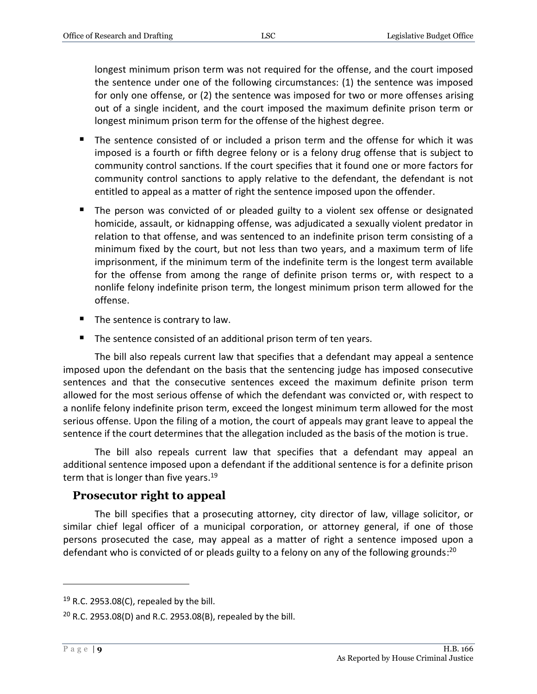longest minimum prison term was not required for the offense, and the court imposed the sentence under one of the following circumstances: (1) the sentence was imposed for only one offense, or (2) the sentence was imposed for two or more offenses arising out of a single incident, and the court imposed the maximum definite prison term or longest minimum prison term for the offense of the highest degree.

- The sentence consisted of or included a prison term and the offense for which it was imposed is a fourth or fifth degree felony or is a felony drug offense that is subject to community control sanctions. If the court specifies that it found one or more factors for community control sanctions to apply relative to the defendant, the defendant is not entitled to appeal as a matter of right the sentence imposed upon the offender.
- The person was convicted of or pleaded guilty to a violent sex offense or designated homicide, assault, or kidnapping offense, was adjudicated a sexually violent predator in relation to that offense, and was sentenced to an indefinite prison term consisting of a minimum fixed by the court, but not less than two years, and a maximum term of life imprisonment, if the minimum term of the indefinite term is the longest term available for the offense from among the range of definite prison terms or, with respect to a nonlife felony indefinite prison term, the longest minimum prison term allowed for the offense.
- $\blacksquare$  The sentence is contrary to law.
- The sentence consisted of an additional prison term of ten years.

The bill also repeals current law that specifies that a defendant may appeal a sentence imposed upon the defendant on the basis that the sentencing judge has imposed consecutive sentences and that the consecutive sentences exceed the maximum definite prison term allowed for the most serious offense of which the defendant was convicted or, with respect to a nonlife felony indefinite prison term, exceed the longest minimum term allowed for the most serious offense. Upon the filing of a motion, the court of appeals may grant leave to appeal the sentence if the court determines that the allegation included as the basis of the motion is true.

The bill also repeals current law that specifies that a defendant may appeal an additional sentence imposed upon a defendant if the additional sentence is for a definite prison term that is longer than five years.<sup>19</sup>

#### <span id="page-8-0"></span>**Prosecutor right to appeal**

The bill specifies that a prosecuting attorney, city director of law, village solicitor, or similar chief legal officer of a municipal corporation, or attorney general, if one of those persons prosecuted the case, may appeal as a matter of right a sentence imposed upon a defendant who is convicted of or pleads guilty to a felony on any of the following grounds:<sup>20</sup>

 $19$  R.C. 2953.08(C), repealed by the bill.

 $20$  R.C. 2953.08(D) and R.C. 2953.08(B), repealed by the bill.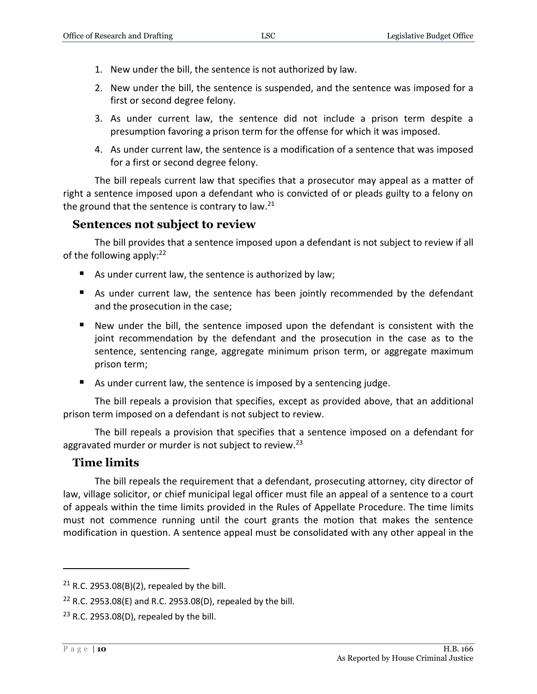- 1. New under the bill, the sentence is not authorized by law.
- 2. New under the bill, the sentence is suspended, and the sentence was imposed for a first or second degree felony.
- 3. As under current law, the sentence did not include a prison term despite a presumption favoring a prison term for the offense for which it was imposed.
- 4. As under current law, the sentence is a modification of a sentence that was imposed for a first or second degree felony.

The bill repeals current law that specifies that a prosecutor may appeal as a matter of right a sentence imposed upon a defendant who is convicted of or pleads guilty to a felony on the ground that the sentence is contrary to law.<sup>21</sup>

#### <span id="page-9-0"></span>**Sentences not subject to review**

The bill provides that a sentence imposed upon a defendant is not subject to review if all of the following apply:<sup>22</sup>

- As under current law, the sentence is authorized by law;
- As under current law, the sentence has been jointly recommended by the defendant and the prosecution in the case;
- New under the bill, the sentence imposed upon the defendant is consistent with the joint recommendation by the defendant and the prosecution in the case as to the sentence, sentencing range, aggregate minimum prison term, or aggregate maximum prison term;
- As under current law, the sentence is imposed by a sentencing judge.

The bill repeals a provision that specifies, except as provided above, that an additional prison term imposed on a defendant is not subject to review.

The bill repeals a provision that specifies that a sentence imposed on a defendant for aggravated murder or murder is not subject to review.<sup>23</sup>

#### <span id="page-9-1"></span>**Time limits**

The bill repeals the requirement that a defendant, prosecuting attorney, city director of law, village solicitor, or chief municipal legal officer must file an appeal of a sentence to a court of appeals within the time limits provided in the Rules of Appellate Procedure. The time limits must not commence running until the court grants the motion that makes the sentence modification in question. A sentence appeal must be consolidated with any other appeal in the

<sup>&</sup>lt;sup>21</sup> R.C. 2953.08(B)(2), repealed by the bill.

<sup>&</sup>lt;sup>22</sup> R.C. 2953.08(E) and R.C. 2953.08(D), repealed by the bill.

 $23$  R.C. 2953.08(D), repealed by the bill.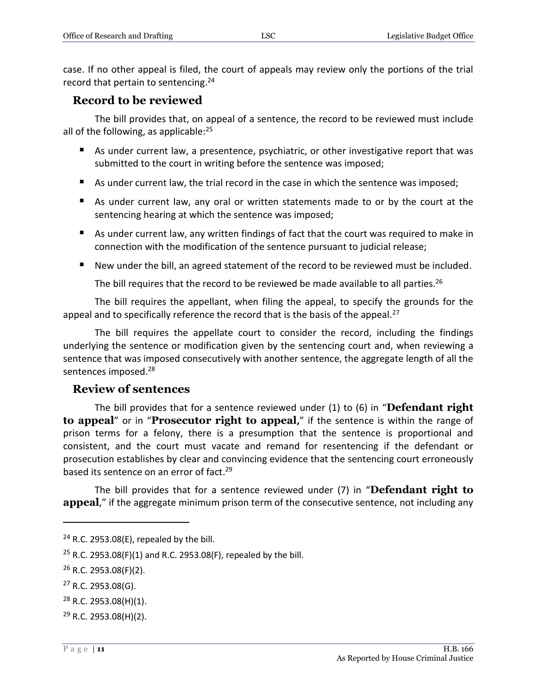case. If no other appeal is filed, the court of appeals may review only the portions of the trial record that pertain to sentencing.<sup>24</sup>

#### <span id="page-10-0"></span>**Record to be reviewed**

The bill provides that, on appeal of a sentence, the record to be reviewed must include all of the following, as applicable: $25$ 

- As under current law, a presentence, psychiatric, or other investigative report that was submitted to the court in writing before the sentence was imposed;
- As under current law, the trial record in the case in which the sentence was imposed;
- As under current law, any oral or written statements made to or by the court at the sentencing hearing at which the sentence was imposed;
- As under current law, any written findings of fact that the court was required to make in connection with the modification of the sentence pursuant to judicial release;
- New under the bill, an agreed statement of the record to be reviewed must be included.

The bill requires that the record to be reviewed be made available to all parties.<sup>26</sup>

The bill requires the appellant, when filing the appeal, to specify the grounds for the appeal and to specifically reference the record that is the basis of the appeal.<sup>27</sup>

The bill requires the appellate court to consider the record, including the findings underlying the sentence or modification given by the sentencing court and, when reviewing a sentence that was imposed consecutively with another sentence, the aggregate length of all the sentences imposed.<sup>28</sup>

#### <span id="page-10-1"></span>**Review of sentences**

The bill provides that for a sentence reviewed under (1) to (6) in "**Defendant right to appeal**" or in "**Prosecutor right to appeal,**" if the sentence is within the range of prison terms for a felony, there is a presumption that the sentence is proportional and consistent, and the court must vacate and remand for resentencing if the defendant or prosecution establishes by clear and convincing evidence that the sentencing court erroneously based its sentence on an error of fact.<sup>29</sup>

The bill provides that for a sentence reviewed under (7) in "**Defendant right to**  appeal," if the aggregate minimum prison term of the consecutive sentence, not including any

 $24$  R.C. 2953.08(E), repealed by the bill.

<sup>&</sup>lt;sup>25</sup> R.C. 2953.08(F)(1) and R.C. 2953.08(F), repealed by the bill.

 $26$  R.C. 2953.08(F)(2).

<sup>27</sup> R.C. 2953.08(G).

 $28$  R.C. 2953.08(H)(1).

 $29$  R.C. 2953.08(H)(2).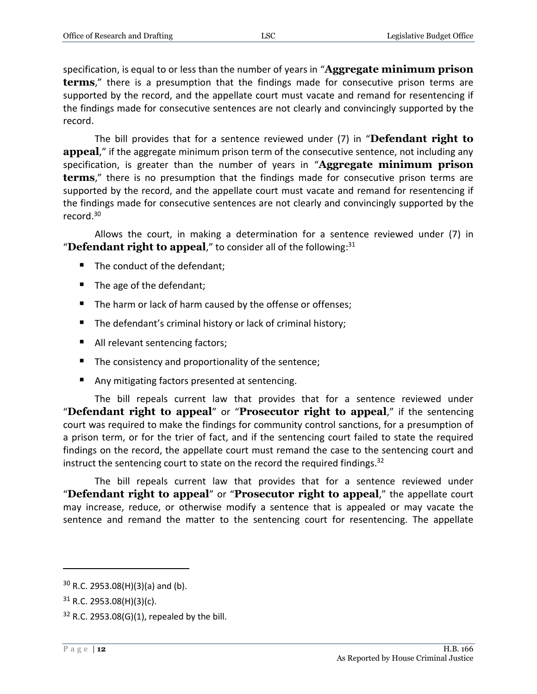specification, is equal to or less than the number of years in "**Aggregate minimum prison terms**," there is a presumption that the findings made for consecutive prison terms are supported by the record, and the appellate court must vacate and remand for resentencing if the findings made for consecutive sentences are not clearly and convincingly supported by the record.

The bill provides that for a sentence reviewed under (7) in "**Defendant right to**  appeal," if the aggregate minimum prison term of the consecutive sentence, not including any specification, is greater than the number of years in "**Aggregate minimum prison terms**," there is no presumption that the findings made for consecutive prison terms are supported by the record, and the appellate court must vacate and remand for resentencing if the findings made for consecutive sentences are not clearly and convincingly supported by the record. 30

Allows the court, in making a determination for a sentence reviewed under (7) in "Defendant right to appeal," to consider all of the following:<sup>31</sup>

- The conduct of the defendant:
- The age of the defendant;
- The harm or lack of harm caused by the offense or offenses;
- The defendant's criminal history or lack of criminal history;
- All relevant sentencing factors;
- The consistency and proportionality of the sentence;
- Any mitigating factors presented at sentencing.

The bill repeals current law that provides that for a sentence reviewed under "**Defendant right to appeal**" or "**Prosecutor right to appeal**," if the sentencing court was required to make the findings for community control sanctions, for a presumption of a prison term, or for the trier of fact, and if the sentencing court failed to state the required findings on the record, the appellate court must remand the case to the sentencing court and instruct the sentencing court to state on the record the required findings.<sup>32</sup>

The bill repeals current law that provides that for a sentence reviewed under "**Defendant right to appeal**" or "**Prosecutor right to appeal**," the appellate court may increase, reduce, or otherwise modify a sentence that is appealed or may vacate the sentence and remand the matter to the sentencing court for resentencing. The appellate

 $30$  R.C. 2953.08(H)(3)(a) and (b).

 $31$  R.C. 2953.08(H)(3)(c).

 $32$  R.C. 2953.08(G)(1), repealed by the bill.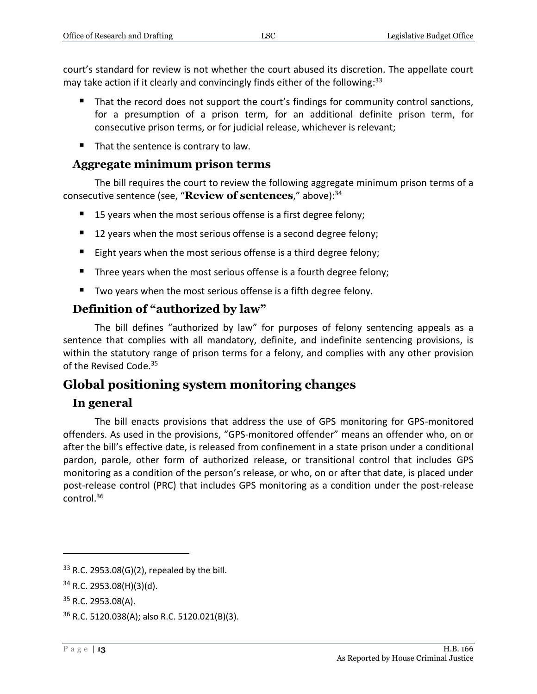court's standard for review is not whether the court abused its discretion. The appellate court may take action if it clearly and convincingly finds either of the following: 33

- That the record does not support the court's findings for community control sanctions, for a presumption of a prison term, for an additional definite prison term, for consecutive prison terms, or for judicial release, whichever is relevant;
- $\blacksquare$  That the sentence is contrary to law.

#### <span id="page-12-0"></span>**Aggregate minimum prison terms**

The bill requires the court to review the following aggregate minimum prison terms of a consecutive sentence (see, "**Review of sentences**," above):<sup>34</sup>

- 15 years when the most serious offense is a first degree felony;
- 12 years when the most serious offense is a second degree felony;
- Eight years when the most serious offense is a third degree felony;
- Three years when the most serious offense is a fourth degree felony;
- Two years when the most serious offense is a fifth degree felony.

#### <span id="page-12-1"></span>**Definition of "authorized by law"**

The bill defines "authorized by law" for purposes of felony sentencing appeals as a sentence that complies with all mandatory, definite, and indefinite sentencing provisions, is within the statutory range of prison terms for a felony, and complies with any other provision of the Revised Code.<sup>35</sup>

## <span id="page-12-2"></span>**Global positioning system monitoring changes**

#### <span id="page-12-3"></span>**In general**

The bill enacts provisions that address the use of GPS monitoring for GPS-monitored offenders. As used in the provisions, "GPS-monitored offender" means an offender who, on or after the bill's effective date, is released from confinement in a state prison under a conditional pardon, parole, other form of authorized release, or transitional control that includes GPS monitoring as a condition of the person's release, or who, on or after that date, is placed under post-release control (PRC) that includes GPS monitoring as a condition under the post-release control. 36

 $33$  R.C. 2953.08(G)(2), repealed by the bill.

 $34$  R.C. 2953.08(H)(3)(d).

 $35$  R.C. 2953.08(A).

<sup>36</sup> R.C. 5120.038(A); also R.C. 5120.021(B)(3).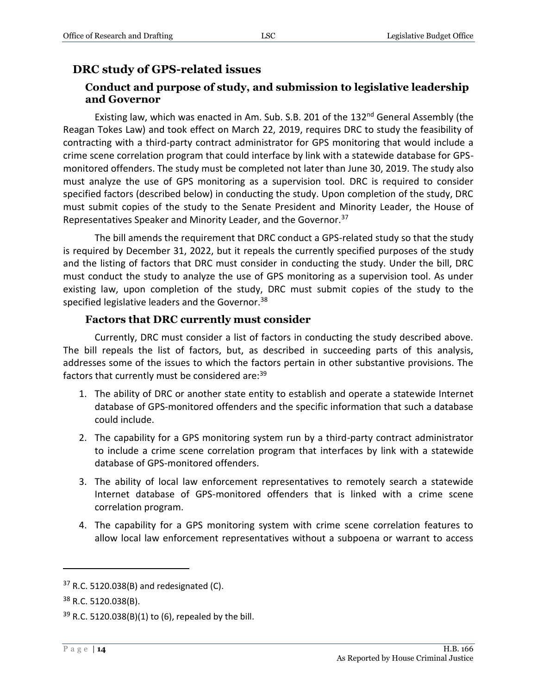## <span id="page-13-1"></span><span id="page-13-0"></span>**DRC study of GPS-related issues**

#### **Conduct and purpose of study, and submission to legislative leadership and Governor**

Existing law, which was enacted in Am. Sub. S.B. 201 of the 132<sup>nd</sup> General Assembly (the Reagan Tokes Law) and took effect on March 22, 2019, requires DRC to study the feasibility of contracting with a third-party contract administrator for GPS monitoring that would include a crime scene correlation program that could interface by link with a statewide database for GPSmonitored offenders. The study must be completed not later than June 30, 2019. The study also must analyze the use of GPS monitoring as a supervision tool. DRC is required to consider specified factors (described below) in conducting the study. Upon completion of the study, DRC must submit copies of the study to the Senate President and Minority Leader, the House of Representatives Speaker and Minority Leader, and the Governor.<sup>37</sup>

The bill amends the requirement that DRC conduct a GPS-related study so that the study is required by December 31, 2022, but it repeals the currently specified purposes of the study and the listing of factors that DRC must consider in conducting the study. Under the bill, DRC must conduct the study to analyze the use of GPS monitoring as a supervision tool. As under existing law, upon completion of the study, DRC must submit copies of the study to the specified legislative leaders and the Governor.<sup>38</sup>

#### **Factors that DRC currently must consider**

<span id="page-13-2"></span>Currently, DRC must consider a list of factors in conducting the study described above. The bill repeals the list of factors, but, as described in succeeding parts of this analysis, addresses some of the issues to which the factors pertain in other substantive provisions. The factors that currently must be considered are: 39

- 1. The ability of DRC or another state entity to establish and operate a statewide Internet database of GPS-monitored offenders and the specific information that such a database could include.
- 2. The capability for a GPS monitoring system run by a third-party contract administrator to include a crime scene correlation program that interfaces by link with a statewide database of GPS-monitored offenders.
- 3. The ability of local law enforcement representatives to remotely search a statewide Internet database of GPS-monitored offenders that is linked with a crime scene correlation program.
- 4. The capability for a GPS monitoring system with crime scene correlation features to allow local law enforcement representatives without a subpoena or warrant to access

 $37$  R.C. 5120.038(B) and redesignated (C).

 $38$  R.C. 5120.038(B).

 $39$  R.C. 5120.038(B)(1) to (6), repealed by the bill.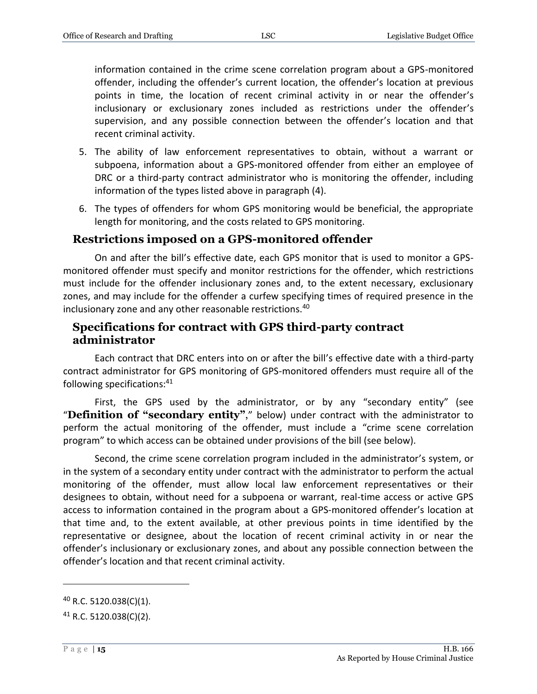information contained in the crime scene correlation program about a GPS-monitored offender, including the offender's current location, the offender's location at previous points in time, the location of recent criminal activity in or near the offender's inclusionary or exclusionary zones included as restrictions under the offender's supervision, and any possible connection between the offender's location and that recent criminal activity.

- 5. The ability of law enforcement representatives to obtain, without a warrant or subpoena, information about a GPS-monitored offender from either an employee of DRC or a third-party contract administrator who is monitoring the offender, including information of the types listed above in paragraph (4).
- 6. The types of offenders for whom GPS monitoring would be beneficial, the appropriate length for monitoring, and the costs related to GPS monitoring.

#### <span id="page-14-0"></span>**Restrictions imposed on a GPS-monitored offender**

On and after the bill's effective date, each GPS monitor that is used to monitor a GPSmonitored offender must specify and monitor restrictions for the offender, which restrictions must include for the offender inclusionary zones and, to the extent necessary, exclusionary zones, and may include for the offender a curfew specifying times of required presence in the inclusionary zone and any other reasonable restrictions.<sup>40</sup>

#### <span id="page-14-1"></span>**Specifications for contract with GPS third-party contract administrator**

Each contract that DRC enters into on or after the bill's effective date with a third-party contract administrator for GPS monitoring of GPS-monitored offenders must require all of the following specifications:<sup>41</sup>

First, the GPS used by the administrator, or by any "secondary entity" (see "**Definition of "secondary entity"**," below) under contract with the administrator to perform the actual monitoring of the offender, must include a "crime scene correlation program" to which access can be obtained under provisions of the bill (see below).

Second, the crime scene correlation program included in the administrator's system, or in the system of a secondary entity under contract with the administrator to perform the actual monitoring of the offender, must allow local law enforcement representatives or their designees to obtain, without need for a subpoena or warrant, real-time access or active GPS access to information contained in the program about a GPS-monitored offender's location at that time and, to the extent available, at other previous points in time identified by the representative or designee, about the location of recent criminal activity in or near the offender's inclusionary or exclusionary zones, and about any possible connection between the offender's location and that recent criminal activity.

 $40$  R.C. 5120.038(C)(1).

<sup>41</sup> R.C. 5120.038(C)(2).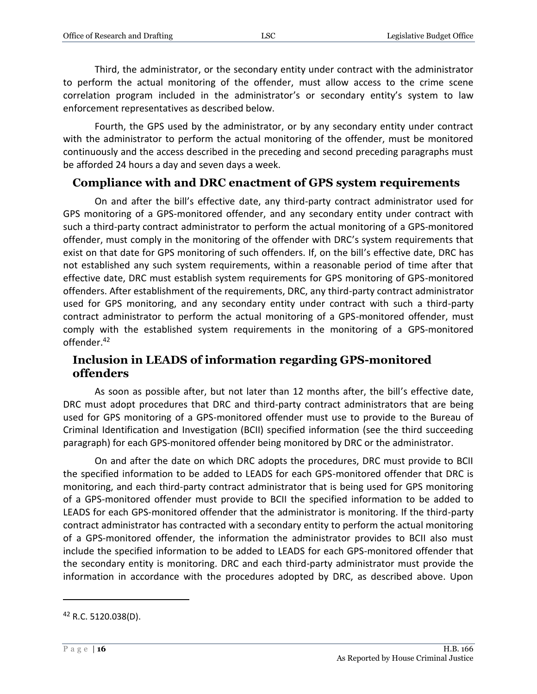Third, the administrator, or the secondary entity under contract with the administrator to perform the actual monitoring of the offender, must allow access to the crime scene correlation program included in the administrator's or secondary entity's system to law enforcement representatives as described below.

Fourth, the GPS used by the administrator, or by any secondary entity under contract with the administrator to perform the actual monitoring of the offender, must be monitored continuously and the access described in the preceding and second preceding paragraphs must be afforded 24 hours a day and seven days a week.

#### <span id="page-15-0"></span>**Compliance with and DRC enactment of GPS system requirements**

On and after the bill's effective date, any third-party contract administrator used for GPS monitoring of a GPS-monitored offender, and any secondary entity under contract with such a third-party contract administrator to perform the actual monitoring of a GPS-monitored offender, must comply in the monitoring of the offender with DRC's system requirements that exist on that date for GPS monitoring of such offenders. If, on the bill's effective date, DRC has not established any such system requirements, within a reasonable period of time after that effective date, DRC must establish system requirements for GPS monitoring of GPS-monitored offenders. After establishment of the requirements, DRC, any third-party contract administrator used for GPS monitoring, and any secondary entity under contract with such a third-party contract administrator to perform the actual monitoring of a GPS-monitored offender, must comply with the established system requirements in the monitoring of a GPS-monitored offender.<sup>42</sup>

#### <span id="page-15-1"></span>**Inclusion in LEADS of information regarding GPS-monitored offenders**

As soon as possible after, but not later than 12 months after, the bill's effective date, DRC must adopt procedures that DRC and third-party contract administrators that are being used for GPS monitoring of a GPS-monitored offender must use to provide to the Bureau of Criminal Identification and Investigation (BCII) specified information (see the third succeeding paragraph) for each GPS-monitored offender being monitored by DRC or the administrator.

On and after the date on which DRC adopts the procedures, DRC must provide to BCII the specified information to be added to LEADS for each GPS-monitored offender that DRC is monitoring, and each third-party contract administrator that is being used for GPS monitoring of a GPS-monitored offender must provide to BCII the specified information to be added to LEADS for each GPS-monitored offender that the administrator is monitoring. If the third-party contract administrator has contracted with a secondary entity to perform the actual monitoring of a GPS-monitored offender, the information the administrator provides to BCII also must include the specified information to be added to LEADS for each GPS-monitored offender that the secondary entity is monitoring. DRC and each third-party administrator must provide the information in accordance with the procedures adopted by DRC, as described above. Upon

 $42$  R.C. 5120.038(D).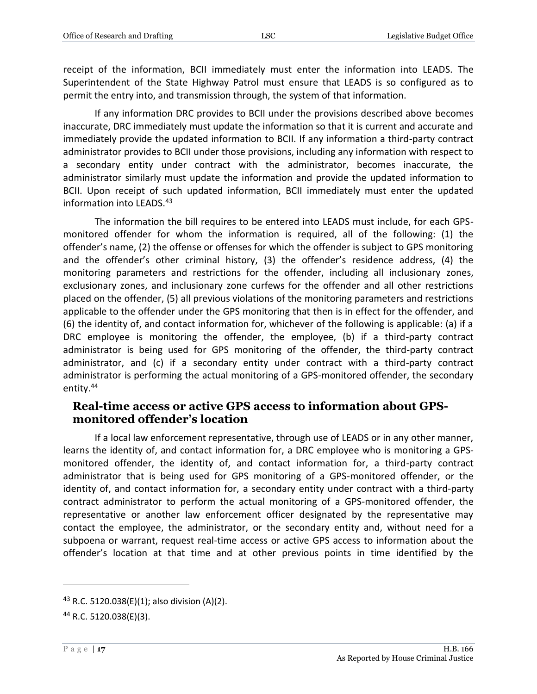receipt of the information, BCII immediately must enter the information into LEADS. The Superintendent of the State Highway Patrol must ensure that LEADS is so configured as to permit the entry into, and transmission through, the system of that information.

If any information DRC provides to BCII under the provisions described above becomes inaccurate, DRC immediately must update the information so that it is current and accurate and immediately provide the updated information to BCII. If any information a third-party contract administrator provides to BCII under those provisions, including any information with respect to a secondary entity under contract with the administrator, becomes inaccurate, the administrator similarly must update the information and provide the updated information to BCII. Upon receipt of such updated information, BCII immediately must enter the updated information into LEADS.<sup>43</sup>

The information the bill requires to be entered into LEADS must include, for each GPSmonitored offender for whom the information is required, all of the following: (1) the offender's name, (2) the offense or offenses for which the offender is subject to GPS monitoring and the offender's other criminal history, (3) the offender's residence address, (4) the monitoring parameters and restrictions for the offender, including all inclusionary zones, exclusionary zones, and inclusionary zone curfews for the offender and all other restrictions placed on the offender, (5) all previous violations of the monitoring parameters and restrictions applicable to the offender under the GPS monitoring that then is in effect for the offender, and (6) the identity of, and contact information for, whichever of the following is applicable: (a) if a DRC employee is monitoring the offender, the employee, (b) if a third-party contract administrator is being used for GPS monitoring of the offender, the third-party contract administrator, and (c) if a secondary entity under contract with a third-party contract administrator is performing the actual monitoring of a GPS-monitored offender, the secondary entity.<sup>44</sup>

#### <span id="page-16-0"></span>**Real-time access or active GPS access to information about GPSmonitored offender's location**

If a local law enforcement representative, through use of LEADS or in any other manner, learns the identity of, and contact information for, a DRC employee who is monitoring a GPSmonitored offender, the identity of, and contact information for, a third-party contract administrator that is being used for GPS monitoring of a GPS-monitored offender, or the identity of, and contact information for, a secondary entity under contract with a third-party contract administrator to perform the actual monitoring of a GPS-monitored offender, the representative or another law enforcement officer designated by the representative may contact the employee, the administrator, or the secondary entity and, without need for a subpoena or warrant, request real-time access or active GPS access to information about the offender's location at that time and at other previous points in time identified by the

<sup>&</sup>lt;sup>43</sup> R.C. 5120.038(E)(1); also division (A)(2).

<sup>44</sup> R.C. 5120.038(E)(3).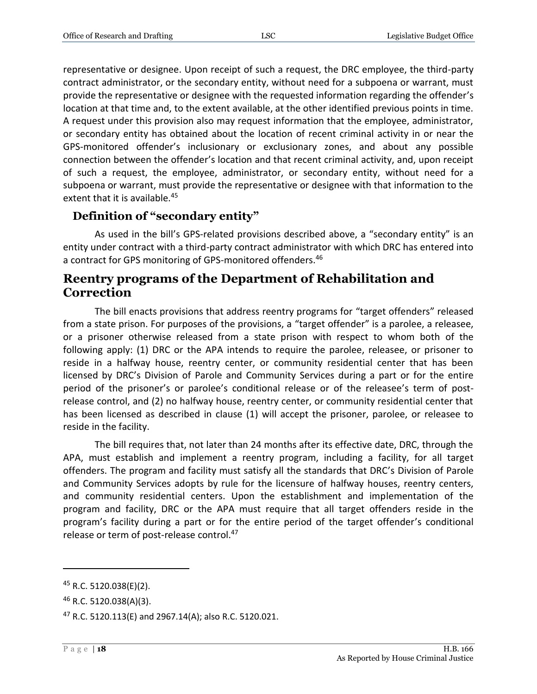representative or designee. Upon receipt of such a request, the DRC employee, the third-party contract administrator, or the secondary entity, without need for a subpoena or warrant, must provide the representative or designee with the requested information regarding the offender's location at that time and, to the extent available, at the other identified previous points in time. A request under this provision also may request information that the employee, administrator, or secondary entity has obtained about the location of recent criminal activity in or near the GPS-monitored offender's inclusionary or exclusionary zones, and about any possible connection between the offender's location and that recent criminal activity, and, upon receipt of such a request, the employee, administrator, or secondary entity, without need for a subpoena or warrant, must provide the representative or designee with that information to the extent that it is available.<sup>45</sup>

#### <span id="page-17-0"></span>**Definition of "secondary entity"**

As used in the bill's GPS-related provisions described above, a "secondary entity" is an entity under contract with a third-party contract administrator with which DRC has entered into a contract for GPS monitoring of GPS-monitored offenders.<sup>46</sup>

## <span id="page-17-1"></span>**Reentry programs of the Department of Rehabilitation and Correction**

The bill enacts provisions that address reentry programs for "target offenders" released from a state prison. For purposes of the provisions, a "target offender" is a parolee, a releasee, or a prisoner otherwise released from a state prison with respect to whom both of the following apply: (1) DRC or the APA intends to require the parolee, releasee, or prisoner to reside in a halfway house, reentry center, or community residential center that has been licensed by DRC's Division of Parole and Community Services during a part or for the entire period of the prisoner's or parolee's conditional release or of the releasee's term of postrelease control, and (2) no halfway house, reentry center, or community residential center that has been licensed as described in clause (1) will accept the prisoner, parolee, or releasee to reside in the facility.

The bill requires that, not later than 24 months after its effective date, DRC, through the APA, must establish and implement a reentry program, including a facility, for all target offenders. The program and facility must satisfy all the standards that DRC's Division of Parole and Community Services adopts by rule for the licensure of halfway houses, reentry centers, and community residential centers. Upon the establishment and implementation of the program and facility, DRC or the APA must require that all target offenders reside in the program's facility during a part or for the entire period of the target offender's conditional release or term of post-release control.<sup>47</sup>

<sup>45</sup> R.C. 5120.038(E)(2).

<sup>46</sup> R.C. 5120.038(A)(3).

<sup>47</sup> R.C. 5120.113(E) and 2967.14(A); also R.C. 5120.021.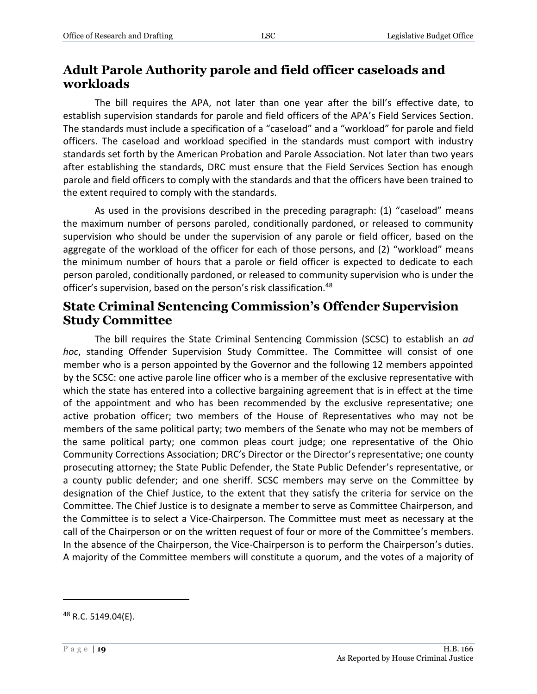## <span id="page-18-0"></span>**Adult Parole Authority parole and field officer caseloads and workloads**

The bill requires the APA, not later than one year after the bill's effective date, to establish supervision standards for parole and field officers of the APA's Field Services Section. The standards must include a specification of a "caseload" and a "workload" for parole and field officers. The caseload and workload specified in the standards must comport with industry standards set forth by the American Probation and Parole Association. Not later than two years after establishing the standards, DRC must ensure that the Field Services Section has enough parole and field officers to comply with the standards and that the officers have been trained to the extent required to comply with the standards.

As used in the provisions described in the preceding paragraph: (1) "caseload" means the maximum number of persons paroled, conditionally pardoned, or released to community supervision who should be under the supervision of any parole or field officer, based on the aggregate of the workload of the officer for each of those persons, and (2) "workload" means the minimum number of hours that a parole or field officer is expected to dedicate to each person paroled, conditionally pardoned, or released to community supervision who is under the officer's supervision, based on the person's risk classification.<sup>48</sup>

### <span id="page-18-1"></span>**State Criminal Sentencing Commission's Offender Supervision Study Committee**

The bill requires the State Criminal Sentencing Commission (SCSC) to establish an *ad hoc*, standing Offender Supervision Study Committee. The Committee will consist of one member who is a person appointed by the Governor and the following 12 members appointed by the SCSC: one active parole line officer who is a member of the exclusive representative with which the state has entered into a collective bargaining agreement that is in effect at the time of the appointment and who has been recommended by the exclusive representative; one active probation officer; two members of the House of Representatives who may not be members of the same political party; two members of the Senate who may not be members of the same political party; one common pleas court judge; one representative of the Ohio Community Corrections Association; DRC's Director or the Director's representative; one county prosecuting attorney; the State Public Defender, the State Public Defender's representative, or a county public defender; and one sheriff. SCSC members may serve on the Committee by designation of the Chief Justice, to the extent that they satisfy the criteria for service on the Committee. The Chief Justice is to designate a member to serve as Committee Chairperson, and the Committee is to select a Vice-Chairperson. The Committee must meet as necessary at the call of the Chairperson or on the written request of four or more of the Committee's members. In the absence of the Chairperson, the Vice-Chairperson is to perform the Chairperson's duties. A majority of the Committee members will constitute a quorum, and the votes of a majority of

<sup>&</sup>lt;sup>48</sup> R.C. 5149.04(E).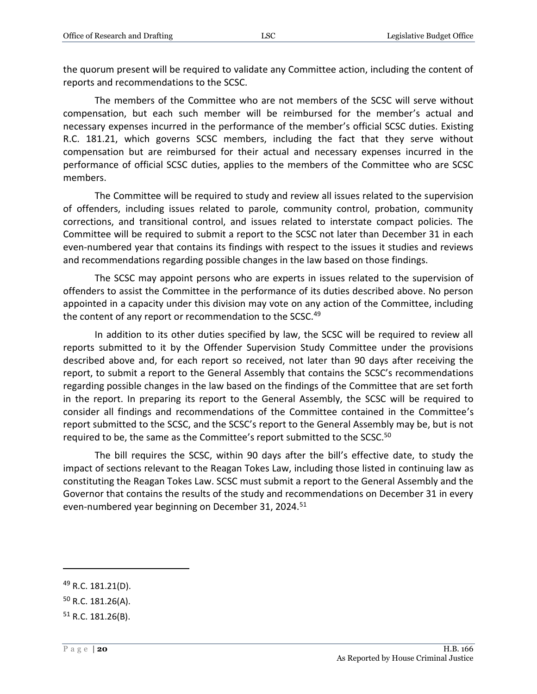the quorum present will be required to validate any Committee action, including the content of reports and recommendations to the SCSC.

The members of the Committee who are not members of the SCSC will serve without compensation, but each such member will be reimbursed for the member's actual and necessary expenses incurred in the performance of the member's official SCSC duties. Existing R.C. 181.21, which governs SCSC members, including the fact that they serve without compensation but are reimbursed for their actual and necessary expenses incurred in the performance of official SCSC duties, applies to the members of the Committee who are SCSC members.

The Committee will be required to study and review all issues related to the supervision of offenders, including issues related to parole, community control, probation, community corrections, and transitional control, and issues related to interstate compact policies. The Committee will be required to submit a report to the SCSC not later than December 31 in each even-numbered year that contains its findings with respect to the issues it studies and reviews and recommendations regarding possible changes in the law based on those findings.

The SCSC may appoint persons who are experts in issues related to the supervision of offenders to assist the Committee in the performance of its duties described above. No person appointed in a capacity under this division may vote on any action of the Committee, including the content of any report or recommendation to the SCSC.<sup>49</sup>

In addition to its other duties specified by law, the SCSC will be required to review all reports submitted to it by the Offender Supervision Study Committee under the provisions described above and, for each report so received, not later than 90 days after receiving the report, to submit a report to the General Assembly that contains the SCSC's recommendations regarding possible changes in the law based on the findings of the Committee that are set forth in the report. In preparing its report to the General Assembly, the SCSC will be required to consider all findings and recommendations of the Committee contained in the Committee's report submitted to the SCSC, and the SCSC's report to the General Assembly may be, but is not required to be, the same as the Committee's report submitted to the SCSC.<sup>50</sup>

The bill requires the SCSC, within 90 days after the bill's effective date, to study the impact of sections relevant to the Reagan Tokes Law, including those listed in continuing law as constituting the Reagan Tokes Law. SCSC must submit a report to the General Assembly and the Governor that contains the results of the study and recommendations on December 31 in every even-numbered year beginning on December 31, 2024.<sup>51</sup>

<sup>49</sup> R.C. 181.21(D).

 $50$  R.C. 181.26(A).

 $51$  R.C. 181.26(B).